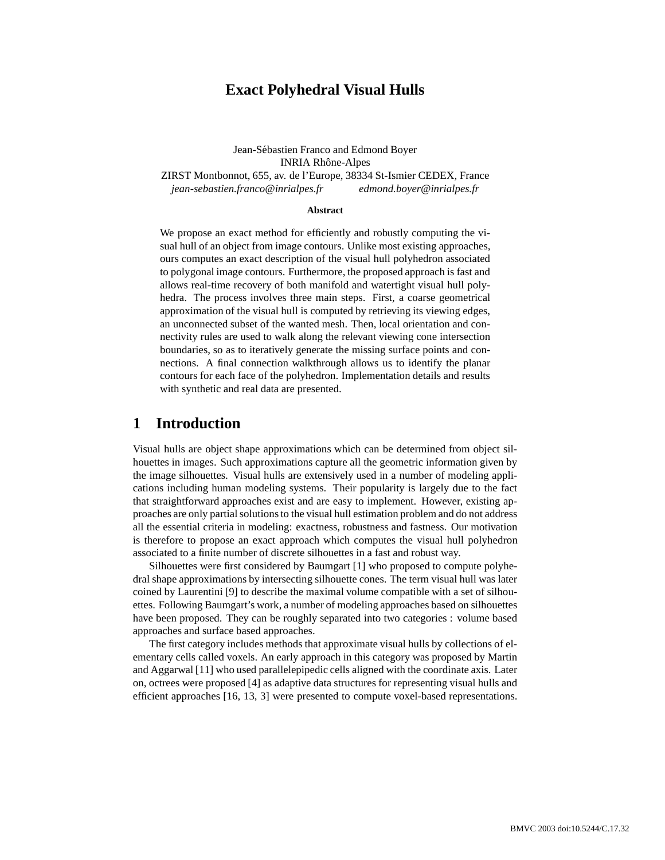# **Exact Polyhedral Visual Hulls**

Jean-Sébastien Franco and Edmond Boyer INRIA Rhône-Alpes ZIRST Montbonnot, 655, av. de l'Europe, 38334 St-Ismier CEDEX, France *jean-sebastien.franco@inrialpes.fr edmond.boyer@inrialpes.fr*

#### **Abstract**

We propose an exact method for efficiently and robustly computing the visual hull of an object from image contours. Unlike most existing approaches, ours computes an exact description of the visual hull polyhedron associated to polygonal image contours. Furthermore, the proposed approach is fast and allows real-time recovery of both manifold and watertight visual hull polyhedra. The process involves three main steps. First, a coarse geometrical approximation of the visual hull is computed by retrieving its viewing edges, an unconnected subset of the wanted mesh. Then, local orientation and connectivity rules are used to walk along the relevant viewing cone intersection boundaries, so as to iteratively generate the missing surface points and connections. A final connection walkthrough allows us to identify the planar contours for each face of the polyhedron. Implementation details and results with synthetic and real data are presented.

## **1 Introduction**

Visual hulls are object shape approximations which can be determined from object silhouettes in images. Such approximations capture all the geometric information given by the image silhouettes. Visual hulls are extensively used in a number of modeling applications including human modeling systems. Their popularity is largely due to the fact that straightforward approaches exist and are easy to implement. However, existing approaches are only partialsolutionsto the visual hull estimation problem and do not address all the essential criteria in modeling: exactness, robustness and fastness. Our motivation is therefore to propose an exact approach which computes the visual hull polyhedron associated to a finite number of discrete silhouettes in a fast and robust way.

Silhouettes were first considered by Baumgart [1] who proposed to compute polyhedral shape approximations by intersecting silhouette cones. The term visual hull was later coined by Laurentini [9] to describe the maximal volume compatible with a set of silhouettes. Following Baumgart's work, a number of modeling approaches based on silhouettes have been proposed. They can be roughly separated into two categories : volume based approaches and surface based approaches.

The first category includes methods that approximate visual hulls by collections of elementary cells called voxels. An early approach in this category was proposed by Martin and Aggarwal [11] who used parallelepipedic cells aligned with the coordinate axis. Later on, octrees were proposed [4] as adaptive data structures for representing visual hulls and efficient approaches [16, 13, 3] were presented to compute voxel-based representations.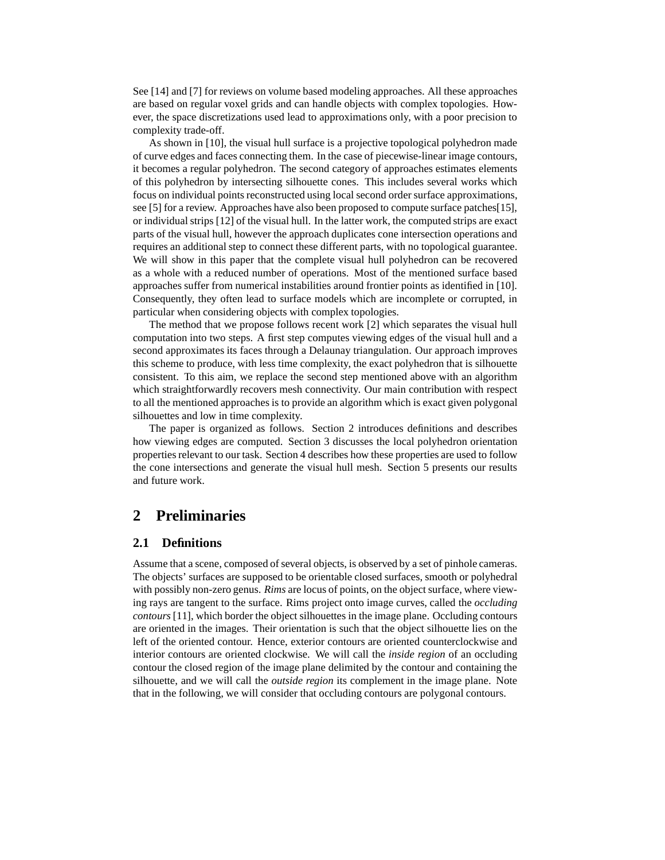See [14] and [7] for reviews on volume based modeling approaches. All these approaches are based on regular voxel grids and can handle objects with complex topologies. However, the space discretizations used lead to approximations only, with a poor precision to complexity trade-off.

As shown in [10], the visual hull surface is a projective topological polyhedron made of curve edges and faces connecting them. In the case of piecewise-linear image contours, it becomes a regular polyhedron. The second category of approaches estimates elements of this polyhedron by intersecting silhouette cones. This includes several works which focus on individual points reconstructed using local second order surface approximations, see [5] for a review. Approaches have also been proposed to compute surface patches[15], or individual strips [12] of the visual hull. In the latter work, the computed strips are exact parts of the visual hull, however the approach duplicates cone intersection operations and requires an additional step to connect these different parts, with no topological guarantee. We will show in this paper that the complete visual hull polyhedron can be recovered as a whole with a reduced number of operations. Most of the mentioned surface based approaches suffer from numerical instabilities around frontier points as identified in [10]. Consequently, they often lead to surface models which are incomplete or corrupted, in particular when considering objects with complex topologies.

The method that we propose follows recent work [2] which separates the visual hull computation into two steps. A first step computes viewing edges of the visual hull and a second approximates its faces through a Delaunay triangulation. Our approach improves this scheme to produce, with less time complexity, the exact polyhedron that is silhouette consistent. To this aim, we replace the second step mentioned above with an algorithm which straightforwardly recovers mesh connectivity. Our main contribution with respect to all the mentioned approaches is to provide an algorithm which is exact given polygonal silhouettes and low in time complexity.

The paper is organized as follows. Section 2 introduces definitions and describes how viewing edges are computed. Section 3 discusses the local polyhedron orientation properties relevant to our task. Section 4 describes how these properties are used to follow the cone intersections and generate the visual hull mesh. Section 5 presents our results and future work.

# **2 Preliminaries**

### **2.1 Definitions**

Assume that a scene, composed of several objects, is observed by a set of pinhole cameras. The objects' surfaces are supposed to be orientable closed surfaces, smooth or polyhedral with possibly non-zero genus. *Rims* are locus of points, on the object surface, where viewing rays are tangent to the surface. Rims project onto image curves, called the *occluding contours* [11], which border the object silhouettes in the image plane. Occluding contours are oriented in the images. Their orientation is such that the object silhouette lies on the left of the oriented contour. Hence, exterior contours are oriented counterclockwise and interior contours are oriented clockwise. We will call the *inside region* of an occluding contour the closed region of the image plane delimited by the contour and containing the silhouette, and we will call the *outside region* its complement in the image plane. Note that in the following, we will consider that occluding contours are polygonal contours.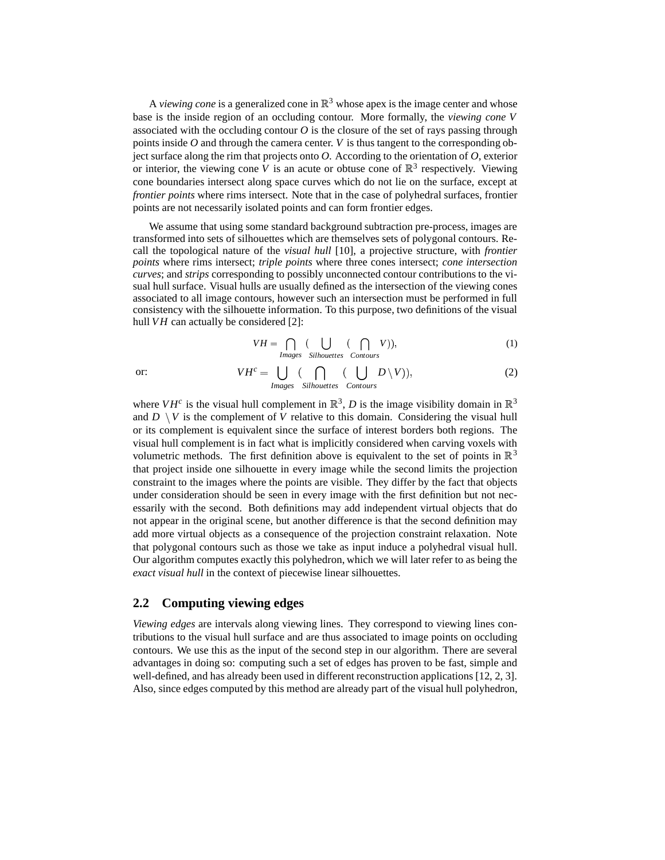A *viewing cone* is a generalized cone in  $\mathbb{R}^3$  whose apex is the image center and whose base is the inside region of an occluding contour. More formally, the *viewing cone V* associated with the occluding contour *O* is the closure of the set of rays passing through points inside *O* and through the camera center. *V* is thus tangent to the corresponding object surface along the rim that projects onto *O*. According to the orientation of *O*, exterior or interior, the viewing cone *V* is an acute or obtuse cone of  $\mathbb{R}^3$  respectively. Viewing cone boundaries intersect along space curves which do not lie on the surface, except at *frontier points* where rims intersect. Note that in the case of polyhedral surfaces, frontier points are not necessarily isolated points and can form frontier edges.

We assume that using some standard background subtraction pre-process, images are transformed into sets of silhouettes which are themselves sets of polygonal contours. Recall the topological nature of the *visual hull* [10], a projective structure, with *frontier points* where rims intersect; *triple points* where three cones intersect; *cone intersection curves*; and *strips* corresponding to possibly unconnected contour contributions to the visual hull surface. Visual hulls are usually defined as the intersection of the viewing cones associated to all image contours, however such an intersection must be performed in full consistency with the silhouette information. To this purpose, two definitions of the visual hull *VH* can actually be considered [2]:

$$
VH = \bigcap_{\text{Images}} (\bigcup_{\text{Silhouettes}} (\bigcap_{\text{Contours}} V)), \tag{1}
$$

or: *VH*

$$
H^{c} = \bigcup_{\text{Images}} (\bigcap_{\text{Silhouettes}} (\bigcup_{\text{Contours}} D \setminus V)), \tag{2}
$$

where  $VH^c$  is the visual hull complement in  $\mathbb{R}^3$ , *D* is the image visibility domain in  $\mathbb{R}^3$ and  $D \setminus V$  is the complement of  $V$  relative to this domain. Considering the visual hull or its complement is equivalent since the surface of interest borders both regions. The visual hull complement is in fact what is implicitly considered when carving voxels with volumetric methods. The first definition above is equivalent to the set of points in  $\mathbb{R}^3$ that project inside one silhouette in every image while the second limits the projection constraint to the images where the points are visible. They differ by the fact that objects under consideration should be seen in every image with the first definition but not necessarily with the second. Both definitions may add independent virtual objects that do not appear in the original scene, but another difference is that the second definition may add more virtual objects as a consequence of the projection constraint relaxation. Note that polygonal contours such as those we take as input induce a polyhedral visual hull. Our algorithm computes exactly this polyhedron, which we will later refer to as being the *exact visual hull* in the context of piecewise linear silhouettes.

#### **2.2 Computing viewing edges**

*Viewing edges* are intervals along viewing lines. They correspond to viewing lines contributions to the visual hull surface and are thus associated to image points on occluding contours. We use this as the input of the second step in our algorithm. There are several advantages in doing so: computing such a set of edges has proven to be fast, simple and well-defined, and has already been used in different reconstruction applications [12, 2, 3]. Also, since edges computed by this method are already part of the visual hull polyhedron,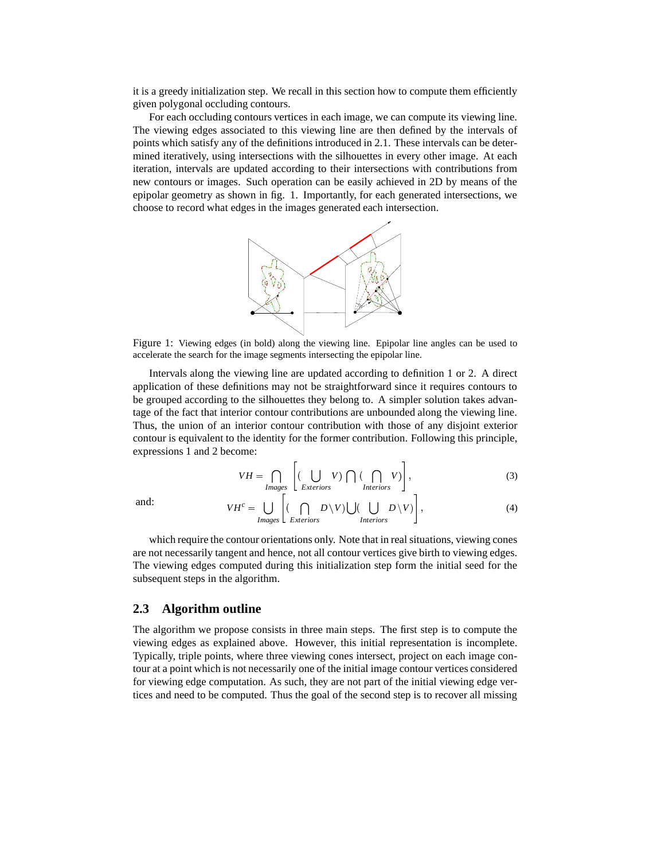it is a greedy initialization step. We recall in this section how to compute them efficiently given polygonal occluding contours.

For each occluding contours vertices in each image, we can compute its viewing line. The viewing edges associated to this viewing line are then defined by the intervals of points which satisfy any of the definitions introduced in 2.1. These intervals can be determined iteratively, using intersections with the silhouettes in every other image. At each iteration, intervals are updated according to their intersections with contributions from new contours or images. Such operation can be easily achieved in 2D by means of the epipolar geometry as shown in fig. 1. Importantly, for each generated intersections, we choose to record what edges in the images generated each intersection.



Figure 1: Viewing edges (in bold) along the viewing line. Epipolar line angles can be used to accelerate the search for the image segments intersecting the epipolar line.

Intervals along the viewing line are updated according to definition 1 or 2. A direct application of these definitions may not be straightforward since it requires contours to be grouped according to the silhouettes they belong to. A simpler solution takes advantage of the fact that interior contour contributions are unbounded along the viewing line. Thus, the union of an interior contour contribution with those of any disjoint exterior contour is equivalent to the identity for the former contribution. Following this principle, expressions 1 and 2 become:

$$
VH = \bigcap_{\text{Images}} \left[ (\bigcup_{\text{Exteriors}} V) \bigcap (\bigcap_{\text{Interiors}} V) \right],
$$
 (3)

and: *VH*

$$
VH^c = \bigcup_{\text{Images}} \left[ (\bigcap_{\text{Exteriors}} D \setminus V) \bigcup (\bigcup_{\text{Interiors}} D \setminus V) \right],
$$
 (4)

which require the contour orientations only. Note that in real situations, viewing cones are not necessarily tangent and hence, not all contour vertices give birth to viewing edges. The viewing edges computed during this initialization step form the initial seed for the subsequent steps in the algorithm.

#### **2.3 Algorithm outline**

The algorithm we propose consists in three main steps. The first step is to compute the viewing edges as explained above. However, this initial representation is incomplete. Typically, triple points, where three viewing cones intersect, project on each image contour at a point which is not necessarily one of the initial image contour vertices considered for viewing edge computation. As such, they are not part of the initial viewing edge vertices and need to be computed. Thus the goal of the second step is to recover all missing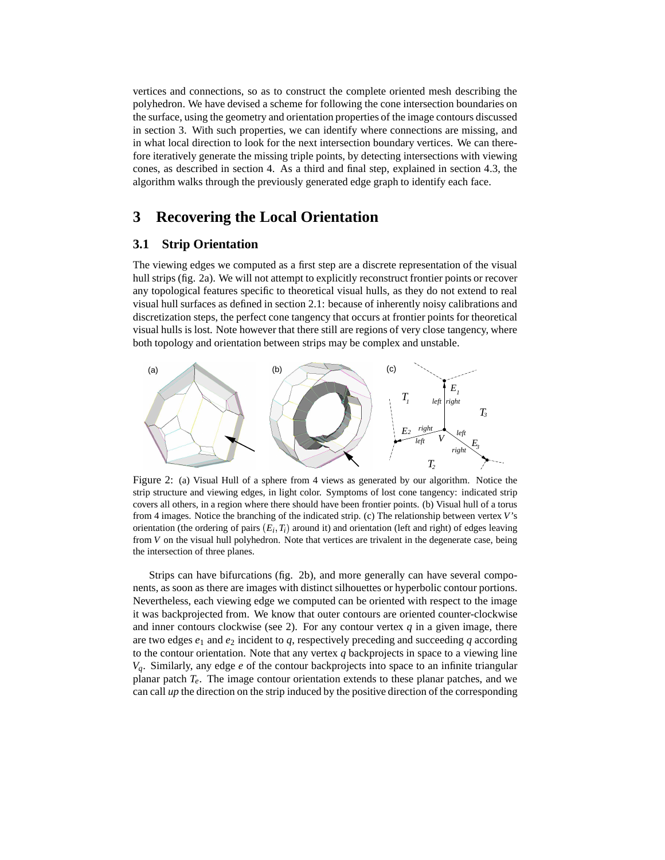vertices and connections, so as to construct the complete oriented mesh describing the polyhedron. We have devised a scheme for following the cone intersection boundaries on the surface, using the geometry and orientation properties of the image contours discussed in section 3. With such properties, we can identify where connections are missing, and in what local direction to look for the next intersection boundary vertices. We can therefore iteratively generate the missing triple points, by detecting intersections with viewing cones, as described in section 4. As a third and final step, explained in section 4.3, the algorithm walks through the previously generated edge graph to identify each face.

# **3 Recovering the Local Orientation**

### **3.1 Strip Orientation**

The viewing edges we computed as a first step are a discrete representation of the visual hull strips (fig. 2a). We will not attempt to explicitly reconstruct frontier points or recover any topological features specific to theoretical visual hulls, as they do not extend to real visual hull surfaces as defined in section 2.1: because of inherently noisy calibrations and discretization steps, the perfect cone tangency that occurs at frontier points for theoretical visual hulls is lost. Note however that there still are regions of very close tangency, where both topology and orientation between strips may be complex and unstable.



Figure 2: (a) Visual Hull of a sphere from 4 views as generated by our algorithm. Notice the strip structure and viewing edges, in light color. Symptoms of lost cone tangency: indicated strip covers all others, in a region where there should have been frontier points. (b) Visual hull of a torus from 4 images. Notice the branching of the indicated strip. (c) The relationship between vertex *V*'s orientation (the ordering of pairs  $(E_i, T_i)$  around it) and orientation (left and right) of edges leaving from *V* on the visual hull polyhedron. Note that vertices are trivalent in the degenerate case, being the intersection of three planes.

Strips can have bifurcations (fig. 2b), and more generally can have several components, as soon as there are images with distinct silhouettes or hyperbolic contour portions. Nevertheless, each viewing edge we computed can be oriented with respect to the image it was backprojected from. We know that outer contours are oriented counter-clockwise and inner contours clockwise (see 2). For any contour vertex  $q$  in a given image, there are two edges  $e_1$  and  $e_2$  incident to  $q$ , respectively preceding and succeeding  $q$  according to the contour orientation. Note that any vertex *q* backprojects in space to a viewing line *Vq*. Similarly, any edge *e* of the contour backprojects into space to an infinite triangular planar patch *Te*. The image contour orientation extends to these planar patches, and we can call *up* the direction on the strip induced by the positive direction of the corresponding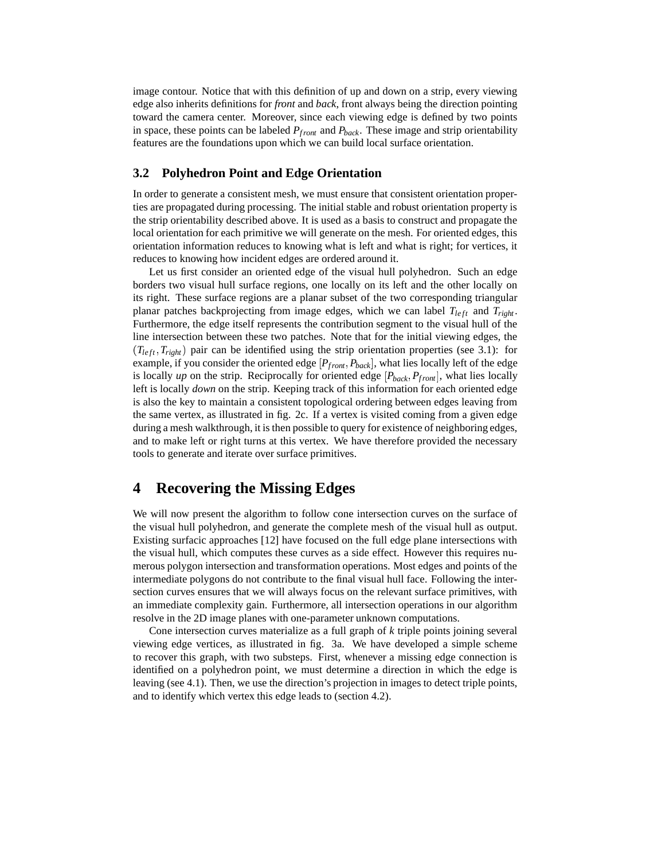image contour. Notice that with this definition of up and down on a strip, every viewing edge also inherits definitions for *front* and *back*, front always being the direction pointing toward the camera center. Moreover, since each viewing edge is defined by two points in space, these points can be labeled *Pfront* and *Pback* . These image and strip orientability features are the foundations upon which we can build local surface orientation.

### **3.2 Polyhedron Point and Edge Orientation**

In order to generate a consistent mesh, we must ensure that consistent orientation properties are propagated during processing. The initial stable and robust orientation property is the strip orientability described above. It is used as a basis to construct and propagate the local orientation for each primitive we will generate on the mesh. For oriented edges, this orientation information reduces to knowing what is left and what is right; for vertices, it reduces to knowing how incident edges are ordered around it.

Let us first consider an oriented edge of the visual hull polyhedron. Such an edge borders two visual hull surface regions, one locally on its left and the other locally on its right. These surface regions are a planar subset of the two corresponding triangular planar patches backprojecting from image edges, which we can label  $T_{left}$  and  $T_{right}$ . Furthermore, the edge itself represents the contribution segment to the visual hull of the line intersection between these two patches. Note that for the initial viewing edges, the  $(T_{left}, T_{right})$  pair can be identified using the strip orientation properties (see 3.1): for example, if you consider the oriented edge *Pfront Pback* , what lies locally left of the edge is locally *up* on the strip. Reciprocally for oriented edge *Pback Pfront* , what lies locally left is locally *down* on the strip. Keeping track of this information for each oriented edge is also the key to maintain a consistent topological ordering between edges leaving from the same vertex, as illustrated in fig. 2c. If a vertex is visited coming from a given edge during a mesh walkthrough, it is then possible to query for existence of neighboring edges, and to make left or right turns at this vertex. We have therefore provided the necessary tools to generate and iterate over surface primitives.

# **4 Recovering the Missing Edges**

We will now present the algorithm to follow cone intersection curves on the surface of the visual hull polyhedron, and generate the complete mesh of the visual hull as output. Existing surfacic approaches [12] have focused on the full edge plane intersections with the visual hull, which computes these curves as a side effect. However this requires numerous polygon intersection and transformation operations. Most edges and points of the intermediate polygons do not contribute to the final visual hull face. Following the intersection curves ensures that we will always focus on the relevant surface primitives, with an immediate complexity gain. Furthermore, all intersection operations in our algorithm resolve in the 2D image planes with one-parameter unknown computations.

Cone intersection curves materialize as a full graph of *k* triple points joining several viewing edge vertices, as illustrated in fig. 3a. We have developed a simple scheme to recover this graph, with two substeps. First, whenever a missing edge connection is identified on a polyhedron point, we must determine a direction in which the edge is leaving (see 4.1). Then, we use the direction's projection in images to detect triple points, and to identify which vertex this edge leads to (section 4.2).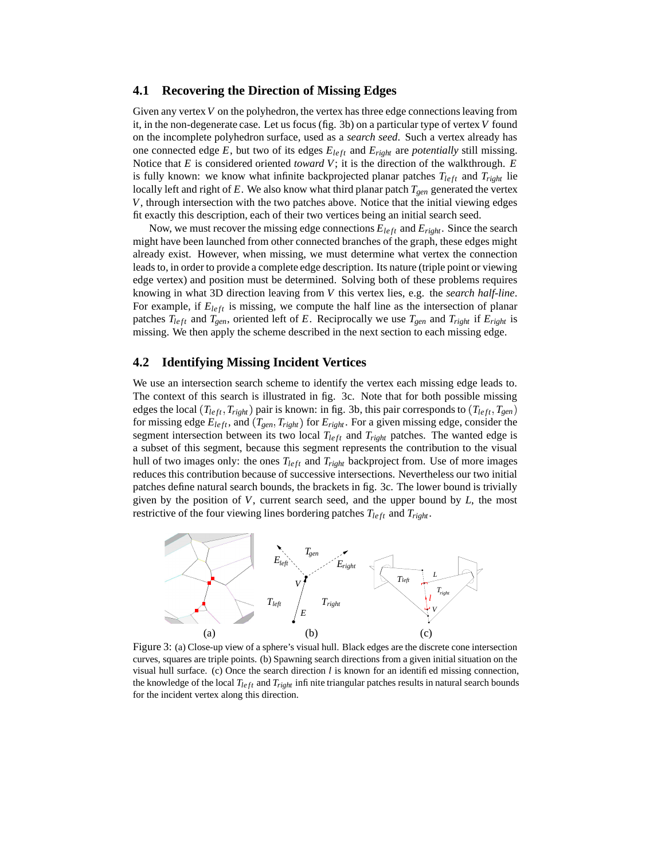#### **4.1 Recovering the Direction of Missing Edges**

Given any vertex V on the polyhedron, the vertex has three edge connections leaving from it, in the non-degenerate case. Let us focus (fig. 3b) on a particular type of vertex*V* found on the incomplete polyhedron surface, used as a *search seed*. Such a vertex already has one connected edge  $E$ , but two of its edges  $E_{left}$  and  $E_{right}$  are *potentially* still missing. Notice that *E* is considered oriented *toward V*; it is the direction of the walkthrough. *E* is fully known: we know what infinite backprojected planar patches  $T_{left}$  and  $T_{right}$  lie locally left and right of *E*. We also know what third planar patch *Tgen* generated the vertex *V*, through intersection with the two patches above. Notice that the initial viewing edges fit exactly this description, each of their two vertices being an initial search seed.

Now, we must recover the missing edge connections  $E_{left}$  and  $E_{right}$ . Since the search might have been launched from other connected branches of the graph, these edges might already exist. However, when missing, we must determine what vertex the connection leads to, in order to provide a complete edge description. Its nature (triple point or viewing edge vertex) and position must be determined. Solving both of these problems requires knowing in what 3D direction leaving from *V* this vertex lies, e.g. the *search half-line*. For example, if  $E_{left}$  is missing, we compute the half line as the intersection of planar patches  $T_{left}$  and  $T_{gen}$ , oriented left of *E*. Reciprocally we use  $T_{gen}$  and  $T_{right}$  if  $E_{right}$  is missing. We then apply the scheme described in the next section to each missing edge.

#### **4.2 Identifying Missing Incident Vertices**

We use an intersection search scheme to identify the vertex each missing edge leads to. The context of this search is illustrated in fig. 3c. Note that for both possible missing edges the local  $(T_{left}, T_{right})$  pair is known: in fig. 3b, this pair corresponds to  $(T_{left}, T_{gen})$ for missing edge  $E_{left}$ , and  $(T_{gen}, T_{right})$  for  $E_{right}$ . For a given missing edge, consider the segment intersection between its two local  $T_{left}$  and  $T_{right}$  patches. The wanted edge is a subset of this segment, because this segment represents the contribution to the visual hull of two images only: the ones  $T_{left}$  and  $T_{right}$  backproject from. Use of more images reduces this contribution because of successive intersections. Nevertheless our two initial patches define natural search bounds, the brackets in fig. 3c. The lower bound is trivially given by the position of *V*, current search seed, and the upper bound by *L*, the most restrictive of the four viewing lines bordering patches  $T_{left}$  and  $T_{right}$ .



Figure 3: (a) Close-up view of a sphere's visual hull. Black edges are the discrete cone intersection curves, squares are triple points. (b) Spawning search directions from a given initial situation on the visual hull surface. (c) Once the search direction *l* is known for an identified missing connection, the knowledge of the local  $T_{left}$  and  $T_{right}$  infinite triangular patches results in natural search bounds for the incident vertex along this direction.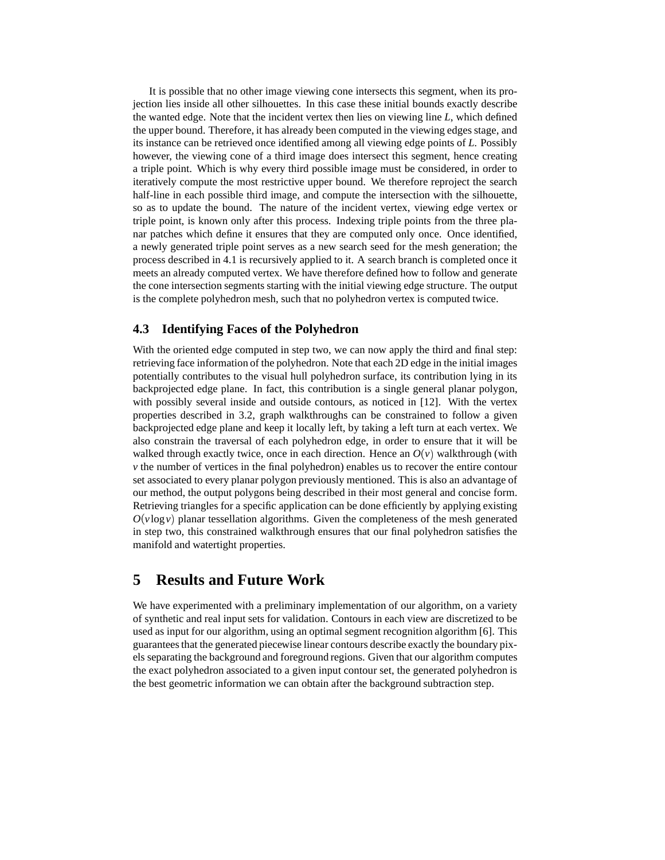It is possible that no other image viewing cone intersects this segment, when its projection lies inside all other silhouettes. In this case these initial bounds exactly describe the wanted edge. Note that the incident vertex then lies on viewing line *L*, which defined the upper bound. Therefore, it has already been computed in the viewing edges stage, and its instance can be retrieved once identified among all viewing edge points of *L*. Possibly however, the viewing cone of a third image does intersect this segment, hence creating a triple point. Which is why every third possible image must be considered, in order to iteratively compute the most restrictive upper bound. We therefore reproject the search half-line in each possible third image, and compute the intersection with the silhouette, so as to update the bound. The nature of the incident vertex, viewing edge vertex or triple point, is known only after this process. Indexing triple points from the three planar patches which define it ensures that they are computed only once. Once identified, a newly generated triple point serves as a new search seed for the mesh generation; the process described in 4.1 is recursively applied to it. A search branch is completed once it meets an already computed vertex. We have therefore defined how to follow and generate the cone intersection segments starting with the initial viewing edge structure. The output is the complete polyhedron mesh, such that no polyhedron vertex is computed twice.

### **4.3 Identifying Faces of the Polyhedron**

With the oriented edge computed in step two, we can now apply the third and final step: retrieving face information of the polyhedron. Note that each 2D edge in the initial images potentially contributes to the visual hull polyhedron surface, its contribution lying in its backprojected edge plane. In fact, this contribution is a single general planar polygon, with possibly several inside and outside contours, as noticed in [12]. With the vertex properties described in 3.2, graph walkthroughs can be constrained to follow a given backprojected edge plane and keep it locally left, by taking a left turn at each vertex. We also constrain the traversal of each polyhedron edge, in order to ensure that it will be walked through exactly twice, once in each direction. Hence an  $O(v)$  walkthrough (with *v* the number of vertices in the final polyhedron) enables us to recover the entire contour set associated to every planar polygon previously mentioned. This is also an advantage of our method, the output polygons being described in their most general and concise form. Retrieving triangles for a specific application can be done efficiently by applying existing  $O(v \log v)$  planar tessellation algorithms. Given the completeness of the mesh generated in step two, this constrained walkthrough ensures that our final polyhedron satisfies the manifold and watertight properties.

# **5 Results and Future Work**

We have experimented with a preliminary implementation of our algorithm, on a variety of synthetic and real input sets for validation. Contours in each view are discretized to be used as input for our algorithm, using an optimal segment recognition algorithm [6]. This guaranteesthat the generated piecewise linear contours describe exactly the boundary pixels separating the background and foreground regions. Given that our algorithm computes the exact polyhedron associated to a given input contour set, the generated polyhedron is the best geometric information we can obtain after the background subtraction step.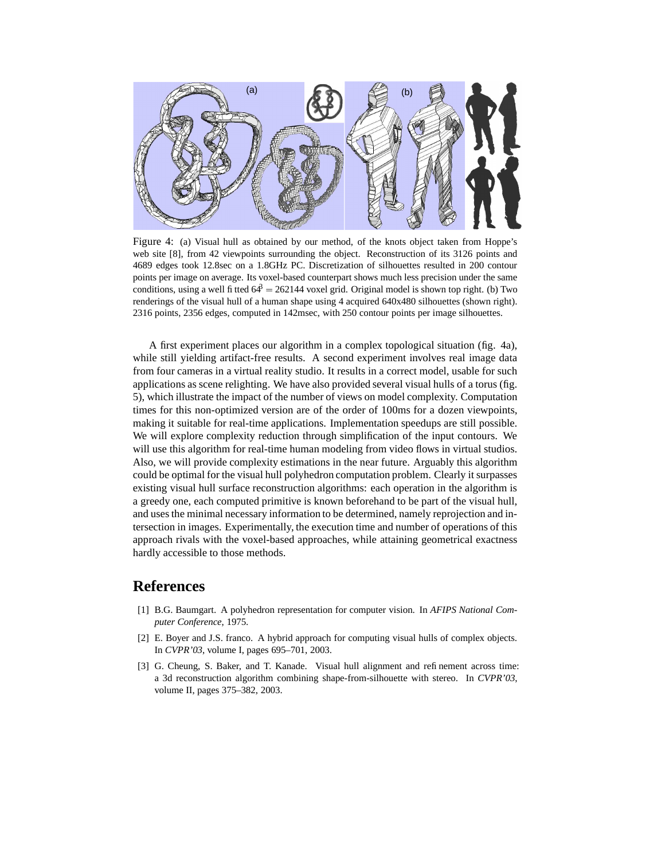

Figure 4: (a) Visual hull as obtained by our method, of the knots object taken from Hoppe's web site [8], from 42 viewpoints surrounding the object. Reconstruction of its 3126 points and 4689 edges took 12.8sec on a 1.8GHz PC. Discretization of silhouettes resulted in 200 contour points per image on average. Its voxel-based counterpart shows much less precision under the same conditions, using a well fitted  $64^3 = 262144$  voxel grid. Original model is shown top right. (b) Two renderings of the visual hull of a human shape using 4 acquired 640x480 silhouettes (shown right). 2316 points, 2356 edges, computed in 142msec, with 250 contour points per image silhouettes.

A first experiment places our algorithm in a complex topological situation (fig. 4a), while still yielding artifact-free results. A second experiment involves real image data from four cameras in a virtual reality studio. It results in a correct model, usable for such applications as scene relighting. We have also provided several visual hulls of a torus (fig. 5), which illustrate the impact of the number of views on model complexity. Computation times for this non-optimized version are of the order of 100ms for a dozen viewpoints, making it suitable for real-time applications. Implementation speedups are still possible. We will explore complexity reduction through simplification of the input contours. We will use this algorithm for real-time human modeling from video flows in virtual studios. Also, we will provide complexity estimations in the near future. Arguably this algorithm could be optimal for the visual hull polyhedron computation problem. Clearly it surpasses existing visual hull surface reconstruction algorithms: each operation in the algorithm is a greedy one, each computed primitive is known beforehand to be part of the visual hull, and uses the minimal necessary information to be determined, namely reprojection and intersection in images. Experimentally, the execution time and number of operations of this approach rivals with the voxel-based approaches, while attaining geometrical exactness hardly accessible to those methods.

## **References**

- [1] B.G. Baumgart. A polyhedron representation for computer vision. In *AFIPS National Computer Conference*, 1975.
- [2] E. Boyer and J.S. franco. A hybrid approach for computing visual hulls of complex objects. In *CVPR'03*, volume I, pages 695–701, 2003.
- [3] G. Cheung, S. Baker, and T. Kanade. Visual hull alignment and refinement across time: a 3d reconstruction algorithm combining shape-from-silhouette with stereo. In *CVPR'03*, volume II, pages 375–382, 2003.